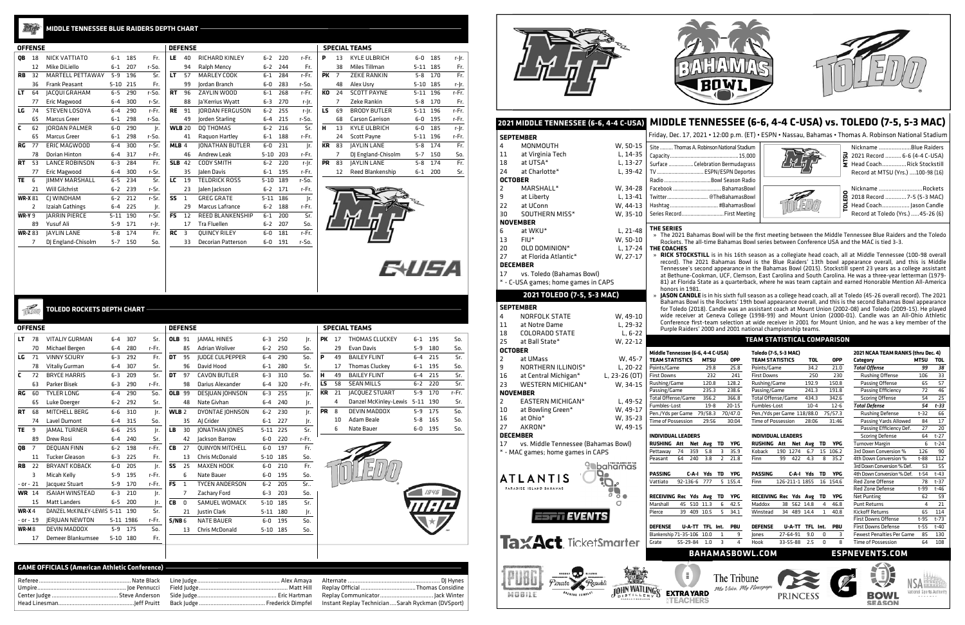|    | 2021 MIDDLE TENNESSEE (6-6, 4-4 C-USA) |                   |                                                 |                 |                             |                                                            |                 |                        | MIDDLE TENNESSEE (6-6, 4-4 C-USA) vs. TOLEDO (7-5, 5-3 MAC)                                                                                                                                                      |             |              |
|----|----------------------------------------|-------------------|-------------------------------------------------|-----------------|-----------------------------|------------------------------------------------------------|-----------------|------------------------|------------------------------------------------------------------------------------------------------------------------------------------------------------------------------------------------------------------|-------------|--------------|
|    | <b>SEPTEMBER</b>                       |                   |                                                 |                 |                             |                                                            |                 |                        | Friday, Dec. 17, 2021 • 12:00 p.m. (ET) • ESPN • Nassau, Bahamas • Thomas A. Robinson National Stadium                                                                                                           |             |              |
| 4  | MONMOUTH                               | W, 50-15          | Site  Thomas A. Robinson National Stadium       |                 |                             |                                                            |                 |                        | Nickname Blue Raiders                                                                                                                                                                                            |             |              |
| 11 | at Virginia Tech                       | L, 14-35          |                                                 |                 |                             |                                                            |                 | ᄝ                      | 2021 Record  6-6 (4-4 C-USA)                                                                                                                                                                                     |             |              |
| 18 | at UTSA*                               | L, 13-27          | Surface  Celebration Bermudagrass               |                 |                             |                                                            |                 |                        | Head CoachRick Stockstill                                                                                                                                                                                        |             |              |
| 24 | at Charlotte*                          | L, 39-42          | TV  ESPN/ESPN Deportes                          |                 |                             |                                                            |                 |                        | Record at MTSU (Yrs.) 100-98 (16)                                                                                                                                                                                |             |              |
|    | <b>OCTOBER</b>                         |                   | Radio Bowl Season Radio                         |                 |                             |                                                            |                 |                        |                                                                                                                                                                                                                  |             |              |
| 2  | MARSHALL*                              | W. 34-28          | Facebook  BahamasBowl                           |                 |                             |                                                            |                 |                        | Nickname Rockets                                                                                                                                                                                                 |             |              |
| 9  | at Liberty                             | $L, 13-41$        | Twitter @TheBahamasBowl                         |                 |                             |                                                            |                 | TOLEDO                 | 2018 Record  7-5 (5-3 MAC)                                                                                                                                                                                       |             |              |
| 22 | at UConn                               | W, 44-13          | Hashtag  #BahamasBowl                           |                 |                             |                                                            |                 |                        | Head Coach Jason Candle                                                                                                                                                                                          |             |              |
| 30 | SOUTHERN MISS*                         | W, 35-10          | Series Record First Meeting                     |                 |                             |                                                            |                 |                        | Record at Toledo (Yrs.)  45-26 (6)                                                                                                                                                                               |             |              |
|    | <b>NOVEMBER</b>                        |                   |                                                 |                 |                             |                                                            |                 |                        |                                                                                                                                                                                                                  |             |              |
| 6  | at WKU*                                | L, 21-48          | THE SERIES                                      |                 |                             |                                                            |                 |                        |                                                                                                                                                                                                                  |             |              |
| 13 | $FIU*$                                 | W, 50-10          |                                                 |                 |                             |                                                            |                 |                        | » The 2021 Bahamas Bowl will be the first meeting between the Middle Tennessee Blue Raiders and the Toledo                                                                                                       |             |              |
| 20 | OLD DOMINION*                          |                   |                                                 |                 |                             |                                                            |                 |                        | Rockets. The all-time Bahamas Bowl series between Conference USA and the MAC is tied 3-3.                                                                                                                        |             |              |
|    |                                        | L, 17-24          | THE COACHES                                     |                 |                             |                                                            |                 |                        | » RICK STOCKSTILL is in his 16th season as a collegiate head coach, all at Middle Tennessee (100-98 overall                                                                                                      |             |              |
| 27 | at Florida Atlantic*                   | W, 27-17          |                                                 |                 |                             |                                                            |                 |                        | record). The 2021 Bahamas Bowl is the Blue Raiders' 13th bowl appearance overall, and this is Middle                                                                                                             |             |              |
|    | <b>DECEMBER</b>                        |                   |                                                 |                 |                             |                                                            |                 |                        | Tennessee's second appearance in the Bahamas Bowl (2015). Stockstill spent 23 years as a college assistant                                                                                                       |             |              |
| 17 | vs. Toledo (Bahamas Bowl)              |                   |                                                 |                 |                             |                                                            |                 |                        | at Bethune-Cookman, UCF, Clemson, East Carolina and South Carolina. He was a three-year letterman (1979-                                                                                                         |             |              |
|    | * - C-USA games; home games in CAPS    |                   | honors in 1981.                                 |                 |                             |                                                            |                 |                        | 81) at Florida State as a quarterback, where he was team captain and earned Honorable Mention All-America                                                                                                        |             |              |
|    | 2021 TOLEDO (7-5, 5-3 MAC)             |                   |                                                 |                 |                             |                                                            |                 |                        | » JASON CANDLE is in his sixth full season as a college head coach, all at Toledo (45-26 overall record). The 2021                                                                                               |             |              |
|    |                                        |                   |                                                 |                 |                             |                                                            |                 |                        | Bahamas Bowl is the Rockets' 19th bowl appearance overall, and this is the second Bahamas Bowl appearance                                                                                                        |             |              |
|    | <b>SEPTEMBER</b>                       |                   |                                                 |                 |                             |                                                            |                 |                        | for Toledo (2018). Candle was an assistant coach at Mount Union (2002-08) and Toledo (2009-15). He played                                                                                                        |             |              |
| 4  | NORFOLK STATE                          | W, 49-10          |                                                 |                 |                             |                                                            |                 |                        | wide receiver at Geneva College (1998-99) and Mount Union (2000-01). Candle was an All-Ohio Athletic<br>Conference first-team selection at wide receiver in 2001 for Mount Union, and he was a key member of the |             |              |
| 11 | at Notre Dame                          | L, 29-32          |                                                 |                 |                             | Purple Raiders' 2000 and 2001 national championship teams. |                 |                        |                                                                                                                                                                                                                  |             |              |
| 18 | <b>COLORADO STATE</b>                  | $L, 6-22$         |                                                 |                 |                             |                                                            |                 |                        |                                                                                                                                                                                                                  |             |              |
|    |                                        |                   |                                                 |                 |                             |                                                            |                 |                        |                                                                                                                                                                                                                  |             |              |
| 25 | at Ball State*                         | W, 22-12          |                                                 |                 |                             | <b>TEAM STATISTICAL COMPARISON</b>                         |                 |                        |                                                                                                                                                                                                                  |             |              |
|    | <b>OCTOBER</b>                         |                   | Middle Tennessee (6-6, 4-4 C-USA)               |                 |                             | Toledo (7-5, 5-3 MAC)                                      |                 |                        | 2021 NCAA TEAM RANKS (thru Dec. 4)                                                                                                                                                                               |             |              |
| 2  | at UMass                               | W, 45-7           | <b>TEAM STATISTICS</b>                          | <b>MTSU</b>     | <b>OPP</b>                  | <b>TEAM STATISTICS</b>                                     | <b>TOL</b>      | <b>OPP</b>             | Category                                                                                                                                                                                                         | <b>MTSU</b> | <b>TOL</b>   |
| 9  | NORTHERN ILLINOIS*                     | L, 20-22          | Points/Game                                     | 29.8            | 25.8                        | Points/Game                                                | 34.2            | 21.0                   | <b>Total Offense</b>                                                                                                                                                                                             | 99          | 38           |
| 16 | at Central Michigan*                   | L, 23-26 (OT)     | <b>First Downs</b>                              | 232             | 241                         | <b>First Downs</b>                                         | 250             | 230                    | Rushing Offense                                                                                                                                                                                                  | 106         | 33           |
| 23 | WESTERN MICHIGAN*                      | W, 34-15          | Rushing/Game                                    | 120.8           | 128.2                       | Rushing/Game                                               | 192.9           | 150.8                  | Passing Offense                                                                                                                                                                                                  | 65          | 57           |
|    | <b>NOVEMBER</b>                        |                   | Passing/Game                                    | 235.3           | 238.6                       | Passing/Game                                               | 241.3           | 191.8                  | Passing Efficiency                                                                                                                                                                                               | 72          | 46           |
|    | EASTERN MICHIGAN*                      |                   | Total Offense/Game                              | 356.2           | 366.8                       | Total Offense/Game                                         | 434.3           | 342.6                  | <b>Scoring Offense</b>                                                                                                                                                                                           | 54          | 25           |
| 2  |                                        | L, 49-52          | Fumbles-Lost                                    | $19-8$          | $20 - 15$                   | Fumbles-Lost                                               | $10 - 4$        | $12 - 6$               | <b>Total Defense</b>                                                                                                                                                                                             | 54          | $t - 33$     |
| 10 | at Bowling Green*                      | W, 49-17          | Pen./Yds per Game 79/58.3                       |                 | 70/47.0                     | Pen./Yds per Game 118/88.0                                 |                 | 75/57.3                | Rushing Defense                                                                                                                                                                                                  | $t-32$      | 66           |
| 16 | at Ohio*                               | W, 35-23          | Time of Possession                              | 29:56           | 30:04                       | <b>Time of Possession</b>                                  | 28:06           | 31:46                  | Passing Yards Allowed                                                                                                                                                                                            | 84          | 17           |
| 27 | AKRON*                                 | W, 49-15          |                                                 |                 |                             |                                                            |                 |                        | Passing Efficiency Def.                                                                                                                                                                                          | 27          | 20           |
|    | <b>DECEMBER</b>                        |                   | <b>INDIVIDUAL LEADERS</b>                       |                 |                             | <b>INDIVIDUAL LEADERS</b>                                  |                 |                        | <b>Scoring Defense</b>                                                                                                                                                                                           | 64<br>6     | $t-27$       |
| 17 | vs. Middle Tennessee (Bahamas Bowl)    |                   | RUSHING Att Net Avg TD<br>74<br>359<br>Pettaway | 5.8<br>3        | <b>YPG</b><br>35.9          | RUSHING Att Net Avg TD<br>Koback<br>190 1274               | 6.7             | <b>YPG</b><br>15 106.2 | <b>Turnover Margin</b><br>3rd Down Conversion %                                                                                                                                                                  | 126         | $t-24$<br>90 |
|    | * - MAC games; home games in CAPS      |                   | 64<br>240<br>Peasant                            | 3.8             | $\overline{2}$<br>21.8      | Finn<br>99<br>422                                          | 4.3<br>8        | 35.2                   | 4th Down Conversion %                                                                                                                                                                                            | t-88        | 112          |
|    |                                        |                   |                                                 |                 |                             |                                                            |                 |                        | 3rd Down Conversion % Def.                                                                                                                                                                                       | 53          | 55           |
|    |                                        | 9 bahamas<br>Q,   | <b>PASSING</b>                                  | C-A-I Yds<br>TD | YPG                         | PASSING                                                    | C-A-I Yds TD    | YPG                    | 4th Down Conversion % Def.                                                                                                                                                                                       | t-54        | t-43         |
|    | ATLANTIS                               |                   | Vattiato<br>92-136-6 777                        |                 | 5 155.4                     | 126-211-1 1855<br>Finn                                     |                 | 16 154.6               | Red Zone Offense                                                                                                                                                                                                 | 78          | t-37         |
|    | PARADISE ISLAND BAHAMAS                |                   |                                                 |                 |                             |                                                            |                 |                        | Red Zone Defense                                                                                                                                                                                                 | t-99        | t-46         |
|    |                                        | $\circ$ $\bullet$ | RECEIVING Rec Yds Avg                           | TD              | YPG                         | RECEIVING Rec Yds Avg                                      | TD              | <b>YPG</b>             | Net Punting                                                                                                                                                                                                      | 62          | 59           |
|    |                                        | σ                 | 45 510 11.3<br>Marshall                         | 6               | 42.5                        | Maddox<br>38 562 14.8                                      | 4               | 46.8                   | <b>Punt Returns</b>                                                                                                                                                                                              | 4           | 21           |
|    |                                        |                   | 39 409 10.5<br>Pierce                           |                 | 5<br>34.1                   | 34 489 14.4<br>Winstead                                    | $\mathbf{1}$    | 40.8                   | <b>Kickoff Returns</b>                                                                                                                                                                                           | 65          | 114          |
|    | <b>ESPIT EVENTS</b>                    |                   |                                                 |                 |                             |                                                            |                 |                        | <b>First Downs Offense</b>                                                                                                                                                                                       | t-95        | t-73         |
|    |                                        |                   | <b>DEFENSE</b>                                  | U-A-TT TFL Int. | PBU                         | <b>DEFENSE</b>                                             | U-A-TT TFL Int. | PBU                    | <b>First Downs Defense</b>                                                                                                                                                                                       | t-55        | $t-40$       |
|    |                                        |                   | Blankenship 71-35-106 10.0                      | 1               | 9                           | 27-64-91<br>Jones                                          | 9.0<br>0        | з                      | <b>Fewest Penalties Per Game</b>                                                                                                                                                                                 | 85          | 130          |
|    | <b>TaxAct</b> TicketSmarter            |                   | Grate<br>55-29-84 1.0                           | 3               | 4<br><b>BAHAMASBOWL.COM</b> | 33-55-88 2.5<br>Hook                                       | 0               | 8                      | Time of Possession<br><b>ESPNEVENTS.COM</b>                                                                                                                                                                      | 64          | 108          |

|  | ÷      |
|--|--------|
|  |        |
|  | ć<br>Ξ |

## **Letter MIDDLE TENNESSEE BLUE RAIDERS DEPTH CHART**

PK 17 THOMAS CLUCKEY 6-1 195 So. 29 Evan Davis 5-9 180 So. **P** 49 BAILEY FLINT 6-4 215 Sr. 17 Thomas Cluckey 6-1 195 So. **H** 49 BAILEY FLINT 6-4 215 Sr. **LS** 58 SEAN MILLS 6-2 220 Sr. **KR** 21 JACQUEZ STUART 5-9 170 r-Fr. 4 Danzel McKinley-Lewis 5-11 190 Sr. **PR** 8 DEVIN MADDOX 5-9 175 So. 10 Adam Beale 5-8 165 So. 6 Nate Bauer 6-0 195 So.

**E+USA** 

**SPECIAL TEAMS** 





|           |    |                                              |                |     |       | D |
|-----------|----|----------------------------------------------|----------------|-----|-------|---|
| OB        | 18 | NICK VATTIATO                                | $6 - 1$        | 185 | Fr.   |   |
|           | 12 | Mike DiLiello                                | $6 - 1$        | 207 | r-So. |   |
| <b>RB</b> | 32 | MARTELL PETTAWAY                             | $5-9$          | 196 | Sr.   |   |
|           | 36 | <b>Frank Peasant</b>                         | $5 - 10$       | 215 | Fr.   |   |
| LT        | 64 | JACQUI GRAHAM                                | $6-5$          | 290 | r-So. |   |
|           | 77 | Eric Magwood                                 | $6-4$          | 300 | r-Sr. |   |
| LG        | 74 | <b>STEVEN LOSOYA</b>                         | $6 - 4$        | 290 | r-Fr. |   |
|           | 65 | Marcus Greer                                 | $6 - 1$        | 298 | r-So. |   |
| C         | 62 | JORDAN PALMER                                | $6-0$          | 290 | Ir.   |   |
|           | 65 | Marcus Greer                                 | $6 - 1$        | 298 | r-So. |   |
| RG        | 77 | ERIC MAGWOOD                                 | $6-4$          | 300 | r-Sr. |   |
|           | 78 | Dorian Hinton                                |                | 317 | r-Fr. |   |
| <b>RT</b> | 53 | <b>LANCE ROBINSON</b>                        | $6 - 3$        | 284 | Fr.   |   |
|           | 77 | Eric Magwood                                 | $6-4$          | 300 | r-Sr. |   |
| <b>TE</b> | ĥ  | <b>IIMMY MARSHALL</b>                        | $6-5$          | 234 | Sr.   |   |
|           | 21 | Will Gilchrist                               | $6 - 2$        | 239 | r-Sr. |   |
|           |    | CJ WINDHAM                                   | $6 - 2$        | 212 | r-Sr. |   |
|           | 2  | Izaiah Gathings                              | $6-4$          | 225 | Jr.   |   |
|           |    | <b>JARRIN PIERCE</b>                         | $5 - 11$       | 190 | r-Sr. |   |
|           | 89 | Yusuf Ali                                    | $5-9$          | 171 | r-Jr. |   |
|           |    | <b>JAYLIN LANE</b>                           | $5 - 8$        | 174 | Fr.   |   |
|           | 7  | DJ England-Chisolm                           | $5 - 7$        | 150 | So.   |   |
|           |    | <b>WR-X 81</b><br>$WR-Y$ 9<br><b>WR-Z 83</b> | <b>OFFENSE</b> |     | 6-4   |   |

|           |    | SPECIAL TEAMS       |          |     |       |
|-----------|----|---------------------|----------|-----|-------|
| P         | 13 | <b>KYLE ULBRICH</b> | 6-0      | 185 | r-Jr. |
|           | 38 | Miles Tillman       | $5 - 11$ | 185 | Fr.   |
| PК        | 7  | <b>ZEKE RANKIN</b>  | 5-8      | 170 | Fr.   |
|           | 48 | Alex Usrv           | $5 - 10$ | 185 | r-Jr. |
| КO        | 24 | <b>SCOTT PAYNE</b>  | $5 - 11$ | 196 | r-Fr. |
|           | 7  | Zeke Rankin         | $5 - 8$  | 170 | Fr.   |
| LS        | 69 | <b>BRODY BUTLER</b> | $5 - 11$ | 196 | r-Fr. |
|           | 68 | Carson Garrison     | 6-0      | 195 | r-Fr. |
| н         | 13 | KYLE ULBRICH        | 6-0      | 185 | r- r. |
|           | 24 | <b>Scott Payne</b>  | $5 - 11$ | 196 | r-Fr. |
| <b>KR</b> | 83 | <b>JAYLIN LANE</b>  | $5 - 8$  | 174 | Fr.   |
|           | 7  | DJ England-Chisolm  | $5 - 7$  | 150 | So.   |
| <b>PR</b> | 83 | <b>JAYLIN LANE</b>  | $5 - 8$  | 174 | Fr.   |
|           | 12 | Reed Blankenship    | 6-1      | 200 | Sr.   |



|              | <b>OFFENSE</b> |                            |          |           |       |            | <b>DEFENSE</b> |                         |          |     |       |
|--------------|----------------|----------------------------|----------|-----------|-------|------------|----------------|-------------------------|----------|-----|-------|
| LT           | 78             | <b>VITALIY GURMAN</b>      | $6-4$    | 307       | Sr.   | OLB 91     |                | <b>JAMAL HINES</b>      | $6 - 3$  | 250 | Ir.   |
|              | 70             | Michael Bergen             | $6-4$    | 280       | r-Fr. |            | 85             | <b>Adrian Woliver</b>   | $6 - 2$  | 250 | So.   |
| LG           | 71             | <b>VINNY SCIURY</b>        | $6 - 3$  | 292       | Fr.   | DT         | 95             | <b>JUDGE CULPEPPER</b>  | $6-4$    | 290 | So.   |
|              | 78             | Vitaliy Gurman             | $6 - 4$  | 307       | Sr.   |            | 96             | David Hood              | $6 - 1$  | 280 | Sr.   |
| C            | 72             | <b>BRYCE HARRIS</b>        | $6 - 3$  | 209       | Sr.   | DT         | 97             | <b>CAVON BUTLER</b>     | $6 - 3$  | 310 | So.   |
|              | 63             | Parker Bisek               | $6 - 3$  | 290       | r-Fr. |            | 98             | Darius Alexander        | $6 - 4$  | 320 | r-Fr. |
| <b>RG</b>    | 60             | <b>TYLER LONG</b>          | $6 - 4$  | 290       | So.   | <b>OLB</b> | 99             | <b>DESIUAN JOHNSON</b>  | $6 - 3$  | 255 | Ir.   |
|              | 65             | Luke Doerger               | $6 - 2$  | 292       | Sr.   |            | 48             | Nate Givhan             | $6-4$    | 240 | Jr.   |
| <b>RT</b>    | 68             | MITCHELL BERG              | $6-6$    | 310       | Ir.   | WLB $2$    |                | DYONTAE JOHNSON         | $6 - 2$  | 230 | Ir.   |
|              | 74             | Lavel Dumont               | $6-4$    | 315       | So.   |            | 35             | AI Crider               | $6 - 1$  | 227 | Jr.   |
| <b>TE</b>    | 9              | <b>JAMAL TURNER</b>        | 6-6      | 255       | Ir.   | <b>LB</b>  | 30             | <b>JONATHAN JONES</b>   | $5 - 11$ | 225 | Sr.   |
|              | 89             | Drew Rosi                  | $6 - 4$  | 240       | Sr.   |            | 42             | lackson Barrow          | $6-0$    | 220 | r-Fr. |
| <b>QB</b>    | 7              | <b>DEOUAN FINN</b>         | $6 - 2$  | 198       | r-Fr. | <b>CB</b>  | 27             | <b>OUINYON MITCHELL</b> | 6-0      | 197 | Fr.   |
|              | 11             | <b>Tucker Gleason</b>      | $6 - 3$  | 225       | Fr.   |            | 13             | Chris McDonald          | $5 - 10$ | 185 | So.   |
| <b>RB</b>    | 22             | <b>BRYANT KOBACK</b>       | $6-0$    | 205       | Ir.   | SS         | 25             | MAXEN HOOK              | $6-0$    | 210 | Fr.   |
|              | 3              | Micah Kelly                | $5 - 9$  | 195       | r-Fr. |            | 6              | Nate Bauer              | $6-0$    | 195 | So.   |
| $- or - 21$  |                | Jacquez Stuart             | $5 - 9$  | 170       | r-Fr. | <b>FS</b>  | $\mathbf{1}$   | <b>TYCEN ANDERSON</b>   | $6 - 2$  | 205 | Sr.   |
| <b>WR</b> 14 |                | <b>ISAIAH WINSTEAD</b>     | $6 - 3$  | 210       | Ir.   |            | 7              | Zachary Ford            | $6 - 3$  | 203 | So.   |
|              | 15             | <b>Matt Landers</b>        | $6 - 5$  | 200       | Ir.   | <b>CB</b>  | 0              | <b>SAMUEL WOMACK</b>    | $5 - 10$ | 185 | Sr.   |
| WR-X4        |                | DANZEL McKINLEY-LEWIS 5-11 |          | 190       | Sr.   |            | 21             | Justin Clark            | $5 - 11$ | 180 | Jr.   |
| $- or - 19$  |                | <b>JERIUAN NEWTON</b>      |          | 5-11 1986 | r-Fr. | S/NB6      |                | <b>NATE BAUER</b>       | $6-0$    | 195 | So.   |
| <b>WR-M8</b> |                | DEVIN MADDOX               | $5 - 9$  | 175       | So.   |            | 13             | <b>Chris McDonald</b>   | $5 - 10$ | 185 | So.   |
|              | 17             | Demeer Blankumsee          | $5 - 10$ | 180       | Fr.   |            |                |                         |          |     |       |
|              |                |                            |          |           |       |            |                |                         |          |     |       |

|                | <b>OFFENSE</b> |                         |          |     |       | <b>DEFENSE</b> |              |                         |          |     |       |           |                | <b>SPECIAL TEAMS</b> |
|----------------|----------------|-------------------------|----------|-----|-------|----------------|--------------|-------------------------|----------|-----|-------|-----------|----------------|----------------------|
| <b>OB</b>      | 18             | NICK VATTIATO           | $6 - 1$  | 185 | Fr.   | LE             | 40           | RICHARD KINLEY          | $6 - 2$  | 220 | r-Fr. | P         | 13             | KYLE UI              |
|                | 12             | Mike DiLiello           | $6-1$    | 207 | r-So. |                | 94           | <b>Ralph Mency</b>      | $6 - 2$  | 244 | Fr.   |           | 38             | Miles Til            |
| <b>RB</b>      | 32             | <b>MARTELL PETTAWAY</b> | $5-9$    | 196 | Sr.   | LT.            | 57           | MARLEY COOK             | $6 - 1$  | 284 | r-Fr. | <b>PK</b> | $\overline{7}$ | ZEKE <sub>R</sub>    |
|                | 36             | <b>Frank Peasant</b>    | $5 - 10$ | 215 | Fr.   |                | 99           | Jordan Branch           | $6-0$    | 283 | r-So. |           | 48             | Alex Usr             |
| LT.            | 64             | <b>JACQUI GRAHAM</b>    | $6-5$    | 290 | r-So. | <b>RT</b>      | 96           | ZAYLIN WOOD             | $6 - 1$  | 268 | r-Fr. | KO        | 24             | <b>SCOTT F</b>       |
|                | 77             | Eric Magwood            | $6-4$    | 300 | r-Sr. |                | 88           | la'Kerrius Wyatt        | $6 - 3$  | 270 | r-Jr. |           | 7              | Zeke Ra              |
| LG             | 74             | STEVEN LOSOYA           | $6-4$    | 290 | r-Fr. | <b>RE</b>      | 91           | <b>JORDAN FERGUSON</b>  | $6 - 2$  | 255 | r-Jr. | LS        | 69             | <b>BRODY</b>         |
|                | 65             | Marcus Greer            | $6 - 1$  | 298 | r-So. |                | 49           | Jorden Starling         | $6-4$    | 215 | r-So. |           | 68             | Carson C             |
| C              | 62             | <b>JORDAN PALMER</b>    | $6-0$    | 290 | Jr.   | <b>WLB 20</b>  |              | DO THOMAS               | $6 - 2$  | 216 | Sr.   | н         | 13             | <b>KYLE UI</b>       |
|                | 65             | Marcus Greer            | $6 - 1$  | 298 | r-So. |                | 41           | Raguon Hartley          | $6 - 1$  | 188 | r-Fr. |           | 24             | Scott Pa             |
| <b>RG</b>      | 77             | ERIC MAGWOOD            | $6-4$    | 300 | r-Sr. | MLB 4          |              | <b>JONATHAN BUTLER</b>  | $6-0$    | 231 | Ir.   | <b>KR</b> | 83             | <b>JAYLIN</b>        |
|                | 78             | Dorian Hinton           | $6-4$    | 317 | r-Fr. |                | 46           | <b>Andrew Leak</b>      | $5 - 10$ | 203 | r-Fr. |           | $\overline{7}$ | DJ Engla             |
| <b>RT</b>      | 53             | <b>LANCE ROBINSON</b>   | $6 - 3$  | 284 | Fr.   | <b>SLB</b>     | 42           | CODY SMITH              | $6 - 2$  | 220 | r-Jr. | <b>PR</b> | 83             | <b>JAYLINI</b>       |
|                | 77             | Eric Magwood            | $6-4$    | 300 | r-Sr. |                | 35           | Ialen Davis             | $6 - 1$  | 195 | r-Fr. |           | 12             | Reed Bla             |
| <b>TE</b>      | 6              | <b>IIMMY MARSHALL</b>   | $6-5$    | 234 | Sr.   | LC             | 19           | <b>TELDRICK ROSS</b>    | $5 - 10$ | 189 | r-So. |           |                |                      |
|                | 21             | <b>Will Gilchrist</b>   | $6 - 2$  | 239 | r-Sr. |                | 23           | Jalen Jackson           | $6 - 2$  | 171 | r-Fr. |           |                |                      |
| <b>WR-X 81</b> |                | CJ WINDHAM              | $6 - 2$  | 212 | r-Sr. | SS.            | $\mathbf{1}$ | <b>GREG GRATE</b>       | $5 - 11$ | 186 | Jr.   |           |                |                      |
|                | 2              | Izaiah Gathings         | $6-4$    | 225 | Jr.   |                | 29           | Marcus Lafrance         | $6 - 2$  | 188 | r-Fr. |           |                |                      |
| <b>WR-Y 9</b>  |                | <b>JARRIN PIERCE</b>    | $5 - 11$ | 190 | r-Sr. | <b>FS</b>      | 12           | <b>REED BLANKENSHIP</b> | $6 - 1$  | 200 | Sr.   |           |                |                      |
|                | 89             | Yusuf Ali               | $5 - 9$  | 171 | r-Jr. |                | 17           | <b>Tra Fluellen</b>     | $6 - 2$  | 207 | So.   |           |                |                      |
| <b>WR-Z 83</b> |                | <b>JAYLIN LANE</b>      | $5 - 8$  | 174 | Fr.   | <b>RC</b>      | 3            | <b>QUINCY RILEY</b>     | $6-0$    | 181 | r-Fr. |           |                |                      |
|                | 7              | DJ England-Chisolm      | $5 - 7$  | 150 | So.   |                | 33           | Decorian Patterson      | $6-0$    | 191 | r-So. |           |                |                      |

| - 3  | 225     | Fr.   |                   | 13 | <b>Chris McDonald</b> | $5 - 10$ | 185 | So. |
|------|---------|-------|-------------------|----|-----------------------|----------|-----|-----|
| -0   | 205     | Jr.   | SS                | 25 | MAXEN HOOK            | 6-0      | 210 | Fr. |
| ٠9   | 195     | r-Fr. |                   | 6  | Nate Bauer            | 6-0      | 195 | So. |
| ٠9   | 170     | r-Fr. | FS.               | 1  | <b>TYCEN ANDERSON</b> | $6-2$    | 205 | Sr  |
| -3   | 210     | Jr.   |                   | 7  | Zachary Ford          | 6-3      | 203 | So. |
| -5 - | 200     | Jr.   | СB                | 0  | <b>SAMUEL WOMACK</b>  | $5 - 10$ | 185 | Sr. |
|      | 11 190  | Sr.   |                   | 21 | Justin Clark          | $5 - 11$ | 180 | Jr. |
|      | 11 1986 | r-Fr. | S/NB <sub>6</sub> |    | <b>NATE BAUER</b>     | 6-0      | 195 | So. |
| ۹.   | 175     | So.   |                   | 13 | <b>Chris McDonald</b> | $5 - 10$ | 185 | So. |
| 10   | 180     | Fr.   |                   |    |                       |          |     |     |
|      |         |       |                   |    |                       |          |     |     |
|      |         |       |                   |    |                       |          |     |     |

**TOLEDO ROCKETS DEPTH CHART**

| Black |  |
|-------|--|
| ıucci |  |
| rson  |  |
| ruitt |  |

| Instant Replay Technician Sarah Ryckman (DVSport) |
|---------------------------------------------------|



| onal Stadium<br>15,000<br>rmudagrass<br>PN Deportes                |        | Nickname Blue Raiders<br><b>2</b> 2021 Record  6-6 (4-4 C-USA)<br>Head Coach Rick Stockstill<br>Record at MTSU (Yrs.) 100-98 (16) |
|--------------------------------------------------------------------|--------|-----------------------------------------------------------------------------------------------------------------------------------|
| eason Radio<br>hamasBowl<br>hamasBowl<br>hamasBowl<br>irst Meeting | 읍<br>ក | Nickname Rockets<br>2018 Record  7-5 (5-3 MAC)<br>Head Coach Jason Candle<br>Record at Toledo (Yrs.)  45-26 (6)                   |

The Tribune







| <b>GAME OFFICIALS (American Athletic Conference)</b> |
|------------------------------------------------------|
|------------------------------------------------------|